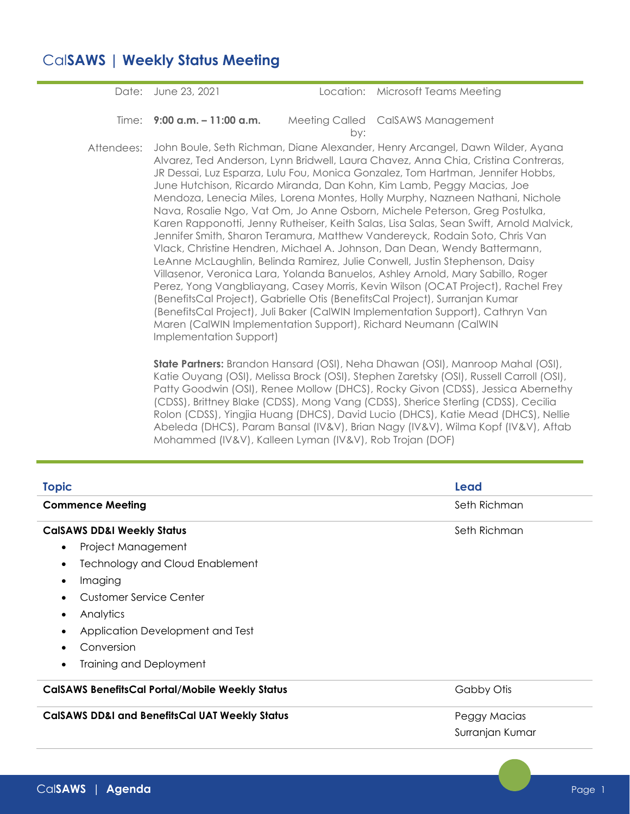## Cal**SAWS | Weekly Status Meeting**

Date: June 23, 2021 Location: Microsoft Teams Meeting **Time: 9:00 a.m. – 11:00 a.m.** by: Meeting Called CalSAWS Management Attendees: John Boule, Seth Richman, Diane Alexander, Henry Arcangel, Dawn Wilder, Ayana Alvarez, Ted Anderson, Lynn Bridwell, Laura Chavez, Anna Chia, Cristina Contreras, JR Dessai, Luz Esparza, Lulu Fou, Monica Gonzalez, Tom Hartman, Jennifer Hobbs, June Hutchison, Ricardo Miranda, Dan Kohn, Kim Lamb, Peggy Macias, Joe Mendoza, Lenecia Miles, Lorena Montes, Holly Murphy, Nazneen Nathani, Nichole

Karen Rapponotti, Jenny Rutheiser, Keith Salas, Lisa Salas, Sean Swift, Arnold Malvick, Jennifer Smith, Sharon Teramura, Matthew Vandereyck, Rodain Soto, Chris Van Vlack, Christine Hendren, Michael A. Johnson, Dan Dean, Wendy Battermann, LeAnne McLaughlin, Belinda Ramirez, Julie Conwell, Justin Stephenson, Daisy Villasenor, Veronica Lara, Yolanda Banuelos, Ashley Arnold, Mary Sabillo, Roger Perez, Yong Vangbliayang, Casey Morris, Kevin Wilson (OCAT Project), Rachel Frey (BenefitsCal Project), Gabrielle Otis (BenefitsCal Project), Surranjan Kumar (BenefitsCal Project), Juli Baker (CalWIN Implementation Support), Cathryn Van Maren (CalWIN Implementation Support), Richard Neumann (CalWIN Implementation Support)

Nava, Rosalie Ngo, Vat Om, Jo Anne Osborn, Michele Peterson, Greg Postulka,

**State Partners:** Brandon Hansard (OSI), Neha Dhawan (OSI), Manroop Mahal (OSI), Katie Ouyang (OSI), Melissa Brock (OSI), Stephen Zaretsky (OSI), Russell Carroll (OSI), Patty Goodwin (OSI), Renee Mollow (DHCS), Rocky Givon (CDSS), Jessica Abernethy (CDSS), Brittney Blake (CDSS), Mong Vang (CDSS), Sherice Sterling (CDSS), Cecilia Rolon (CDSS), Yingjia Huang (DHCS), David Lucio (DHCS), Katie Mead (DHCS), Nellie Abeleda (DHCS), Param Bansal (IV&V), Brian Nagy (IV&V), Wilma Kopf (IV&V), Aftab Mohammed (IV&V), Kalleen Lyman (IV&V), Rob Trojan (DOF)

| <b>Topic</b>                                              | Lead            |  |  |
|-----------------------------------------------------------|-----------------|--|--|
| <b>Commence Meeting</b>                                   | Seth Richman    |  |  |
| <b>CalSAWS DD&amp;I Weekly Status</b>                     | Seth Richman    |  |  |
| Project Management<br>$\bullet$                           |                 |  |  |
| <b>Technology and Cloud Enablement</b><br>$\bullet$       |                 |  |  |
| Imaging<br>$\bullet$                                      |                 |  |  |
| Customer Service Center<br>$\bullet$                      |                 |  |  |
| Analytics<br>$\bullet$                                    |                 |  |  |
| Application Development and Test<br>$\bullet$             |                 |  |  |
| Conversion<br>$\bullet$                                   |                 |  |  |
| <b>Training and Deployment</b><br>$\bullet$               |                 |  |  |
| <b>CalSAWS BenefitsCal Portal/Mobile Weekly Status</b>    | Gabby Otis      |  |  |
| <b>CalSAWS DD&amp;I and BenefitsCal UAT Weekly Status</b> | Peggy Macias    |  |  |
|                                                           | Surranjan Kumar |  |  |